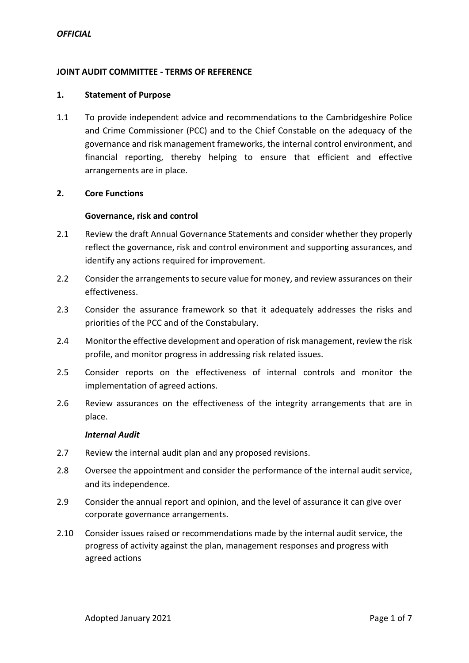## **JOINT AUDIT COMMITTEE - TERMS OF REFERENCE**

### **1. Statement of Purpose**

1.1 To provide independent advice and recommendations to the Cambridgeshire Police and Crime Commissioner (PCC) and to the Chief Constable on the adequacy of the governance and risk management frameworks, the internal control environment, and financial reporting, thereby helping to ensure that efficient and effective arrangements are in place.

### **2. Core Functions**

#### **Governance, risk and control**

- 2.1 Review the draft Annual Governance Statements and consider whether they properly reflect the governance, risk and control environment and supporting assurances, and identify any actions required for improvement.
- 2.2 Consider the arrangements to secure value for money, and review assurances on their effectiveness.
- 2.3 Consider the assurance framework so that it adequately addresses the risks and priorities of the PCC and of the Constabulary.
- 2.4 Monitor the effective development and operation of risk management, review the risk profile, and monitor progress in addressing risk related issues.
- 2.5 Consider reports on the effectiveness of internal controls and monitor the implementation of agreed actions.
- 2.6 Review assurances on the effectiveness of the integrity arrangements that are in place.

#### *Internal Audit*

- 2.7 Review the internal audit plan and any proposed revisions.
- 2.8 Oversee the appointment and consider the performance of the internal audit service, and its independence.
- 2.9 Consider the annual report and opinion, and the level of assurance it can give over corporate governance arrangements.
- 2.10 Consider issues raised or recommendations made by the internal audit service, the progress of activity against the plan, management responses and progress with agreed actions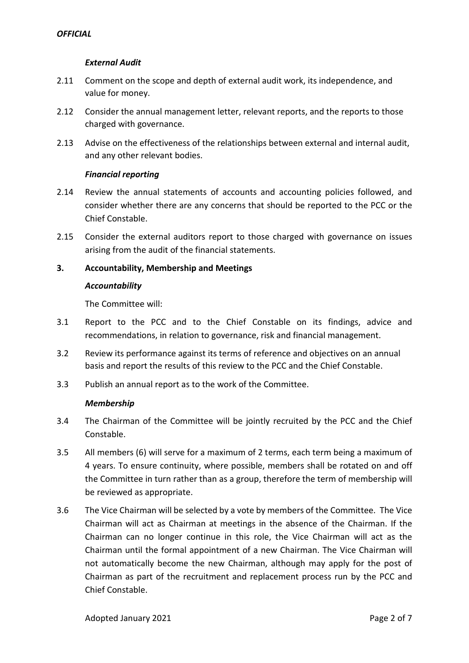# *External Audit*

- 2.11 Comment on the scope and depth of external audit work, its independence, and value for money.
- 2.12 Consider the annual management letter, relevant reports, and the reports to those charged with governance.
- 2.13 Advise on the effectiveness of the relationships between external and internal audit, and any other relevant bodies.

# *Financial reporting*

- 2.14 Review the annual statements of accounts and accounting policies followed, and consider whether there are any concerns that should be reported to the PCC or the Chief Constable.
- 2.15 Consider the external auditors report to those charged with governance on issues arising from the audit of the financial statements.

# **3. Accountability, Membership and Meetings**

#### *Accountability*

The Committee will:

- 3.1 Report to the PCC and to the Chief Constable on its findings, advice and recommendations, in relation to governance, risk and financial management.
- 3.2 Review its performance against its terms of reference and objectives on an annual basis and report the results of this review to the PCC and the Chief Constable.
- 3.3 Publish an annual report as to the work of the Committee.

### *Membership*

- 3.4 The Chairman of the Committee will be jointly recruited by the PCC and the Chief Constable.
- 3.5 All members (6) will serve for a maximum of 2 terms, each term being a maximum of 4 years. To ensure continuity, where possible, members shall be rotated on and off the Committee in turn rather than as a group, therefore the term of membership will be reviewed as appropriate.
- 3.6 The Vice Chairman will be selected by a vote by members of the Committee. The Vice Chairman will act as Chairman at meetings in the absence of the Chairman. If the Chairman can no longer continue in this role, the Vice Chairman will act as the Chairman until the formal appointment of a new Chairman. The Vice Chairman will not automatically become the new Chairman, although may apply for the post of Chairman as part of the recruitment and replacement process run by the PCC and Chief Constable.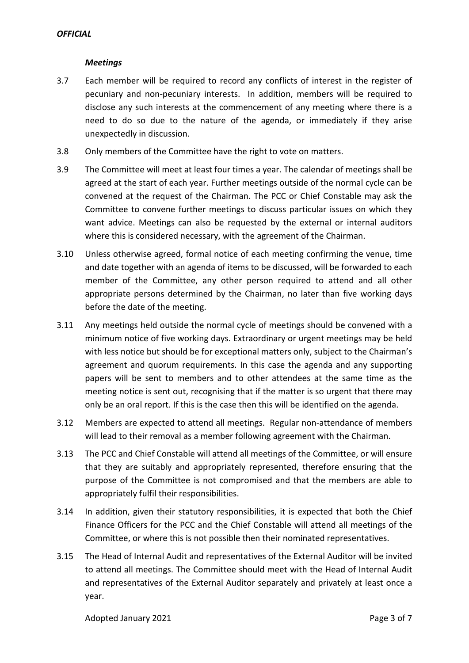# *Meetings*

- 3.7 Each member will be required to record any conflicts of interest in the register of pecuniary and non-pecuniary interests. In addition, members will be required to disclose any such interests at the commencement of any meeting where there is a need to do so due to the nature of the agenda, or immediately if they arise unexpectedly in discussion.
- 3.8 Only members of the Committee have the right to vote on matters.
- 3.9 The Committee will meet at least four times a year. The calendar of meetings shall be agreed at the start of each year. Further meetings outside of the normal cycle can be convened at the request of the Chairman. The PCC or Chief Constable may ask the Committee to convene further meetings to discuss particular issues on which they want advice. Meetings can also be requested by the external or internal auditors where this is considered necessary, with the agreement of the Chairman.
- 3.10 Unless otherwise agreed, formal notice of each meeting confirming the venue, time and date together with an agenda of items to be discussed, will be forwarded to each member of the Committee, any other person required to attend and all other appropriate persons determined by the Chairman, no later than five working days before the date of the meeting.
- 3.11 Any meetings held outside the normal cycle of meetings should be convened with a minimum notice of five working days. Extraordinary or urgent meetings may be held with less notice but should be for exceptional matters only, subject to the Chairman's agreement and quorum requirements. In this case the agenda and any supporting papers will be sent to members and to other attendees at the same time as the meeting notice is sent out, recognising that if the matter is so urgent that there may only be an oral report. If this is the case then this will be identified on the agenda.
- 3.12 Members are expected to attend all meetings. Regular non-attendance of members will lead to their removal as a member following agreement with the Chairman.
- 3.13 The PCC and Chief Constable will attend all meetings of the Committee, or will ensure that they are suitably and appropriately represented, therefore ensuring that the purpose of the Committee is not compromised and that the members are able to appropriately fulfil their responsibilities.
- 3.14 In addition, given their statutory responsibilities, it is expected that both the Chief Finance Officers for the PCC and the Chief Constable will attend all meetings of the Committee, or where this is not possible then their nominated representatives.
- 3.15 The Head of Internal Audit and representatives of the External Auditor will be invited to attend all meetings. The Committee should meet with the Head of Internal Audit and representatives of the External Auditor separately and privately at least once a year.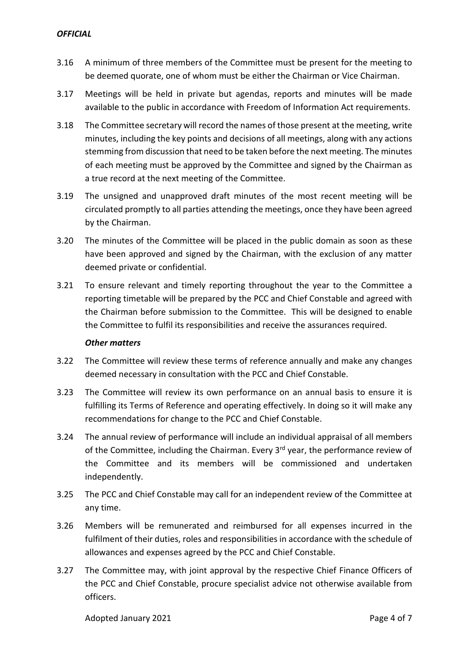- 3.16 A minimum of three members of the Committee must be present for the meeting to be deemed quorate, one of whom must be either the Chairman or Vice Chairman.
- 3.17 Meetings will be held in private but agendas, reports and minutes will be made available to the public in accordance with Freedom of Information Act requirements.
- 3.18 The Committee secretary will record the names of those present at the meeting, write minutes, including the key points and decisions of all meetings, along with any actions stemming from discussion that need to be taken before the next meeting. The minutes of each meeting must be approved by the Committee and signed by the Chairman as a true record at the next meeting of the Committee.
- 3.19 The unsigned and unapproved draft minutes of the most recent meeting will be circulated promptly to all parties attending the meetings, once they have been agreed by the Chairman.
- 3.20 The minutes of the Committee will be placed in the public domain as soon as these have been approved and signed by the Chairman, with the exclusion of any matter deemed private or confidential.
- 3.21 To ensure relevant and timely reporting throughout the year to the Committee a reporting timetable will be prepared by the PCC and Chief Constable and agreed with the Chairman before submission to the Committee. This will be designed to enable the Committee to fulfil its responsibilities and receive the assurances required.

### *Other matters*

- 3.22 The Committee will review these terms of reference annually and make any changes deemed necessary in consultation with the PCC and Chief Constable.
- 3.23 The Committee will review its own performance on an annual basis to ensure it is fulfilling its Terms of Reference and operating effectively. In doing so it will make any recommendations for change to the PCC and Chief Constable.
- 3.24 The annual review of performance will include an individual appraisal of all members of the Committee, including the Chairman. Every 3<sup>rd</sup> year, the performance review of the Committee and its members will be commissioned and undertaken independently.
- 3.25 The PCC and Chief Constable may call for an independent review of the Committee at any time.
- 3.26 Members will be remunerated and reimbursed for all expenses incurred in the fulfilment of their duties, roles and responsibilities in accordance with the schedule of allowances and expenses agreed by the PCC and Chief Constable.
- 3.27 The Committee may, with joint approval by the respective Chief Finance Officers of the PCC and Chief Constable, procure specialist advice not otherwise available from officers.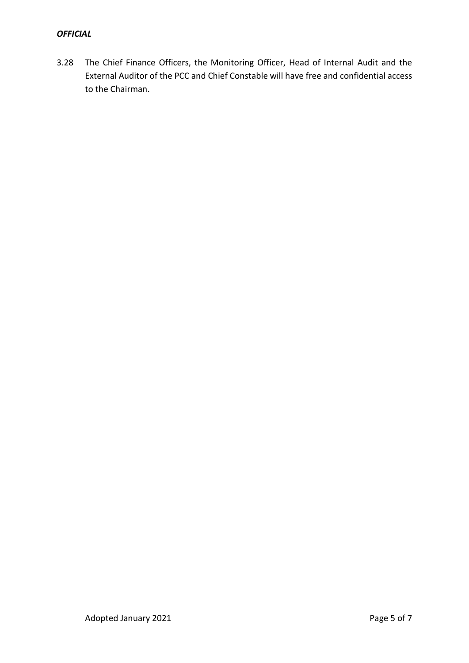# *OFFICIAL*

3.28 The Chief Finance Officers, the Monitoring Officer, Head of Internal Audit and the External Auditor of the PCC and Chief Constable will have free and confidential access to the Chairman.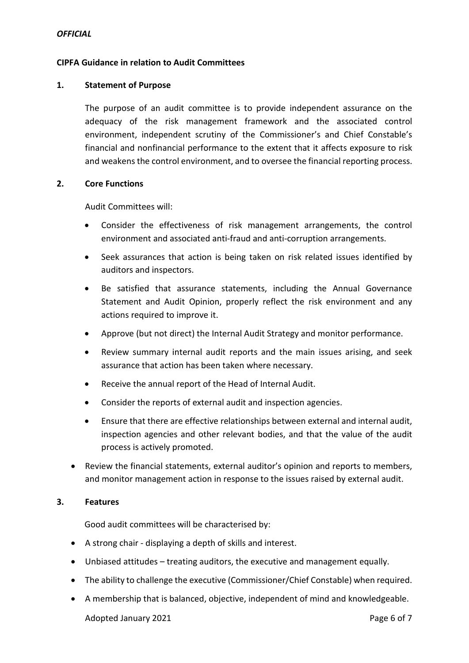### **CIPFA Guidance in relation to Audit Committees**

#### **1. Statement of Purpose**

The purpose of an audit committee is to provide independent assurance on the adequacy of the risk management framework and the associated control environment, independent scrutiny of the Commissioner's and Chief Constable's financial and nonfinancial performance to the extent that it affects exposure to risk and weakens the control environment, and to oversee the financial reporting process.

#### **2. Core Functions**

Audit Committees will:

- Consider the effectiveness of risk management arrangements, the control environment and associated anti-fraud and anti-corruption arrangements.
- Seek assurances that action is being taken on risk related issues identified by auditors and inspectors.
- Be satisfied that assurance statements, including the Annual Governance Statement and Audit Opinion, properly reflect the risk environment and any actions required to improve it.
- Approve (but not direct) the Internal Audit Strategy and monitor performance.
- Review summary internal audit reports and the main issues arising, and seek assurance that action has been taken where necessary.
- Receive the annual report of the Head of Internal Audit.
- Consider the reports of external audit and inspection agencies.
- Ensure that there are effective relationships between external and internal audit, inspection agencies and other relevant bodies, and that the value of the audit process is actively promoted.
- Review the financial statements, external auditor's opinion and reports to members, and monitor management action in response to the issues raised by external audit.

### **3. Features**

Good audit committees will be characterised by:

- A strong chair displaying a depth of skills and interest.
- Unbiased attitudes treating auditors, the executive and management equally.
- The ability to challenge the executive (Commissioner/Chief Constable) when required.
- A membership that is balanced, objective, independent of mind and knowledgeable.